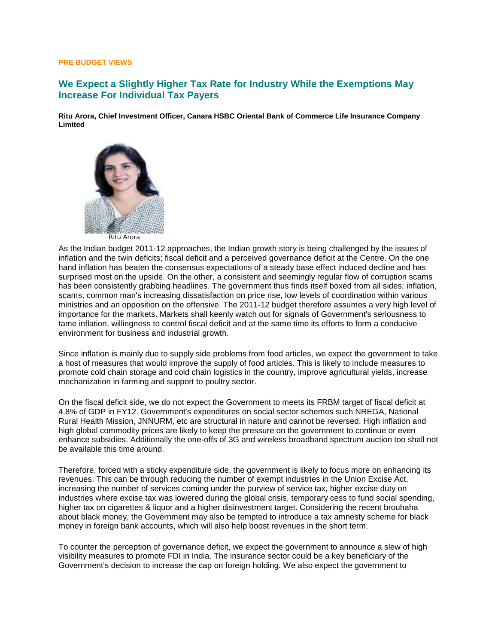## **PRE BUDGET VIEWS**

## **We Expect a Slightly Higher Tax Rate for Industry While the Exemptions May Increase For Individual Tax Payers**

**Ritu Arora, Chief Investment Officer, Canara HSBC Oriental Bank of Commerce Life Insurance Company Limited** 



As the Indian budget 2011-12 approaches, the Indian growth story is being challenged by the issues of inflation and the twin deficits; fiscal deficit and a perceived governance deficit at the Centre. On the one hand inflation has beaten the consensus expectations of a steady base effect induced decline and has surprised most on the upside. On the other, a consistent and seemingly regular flow of corruption scams has been consistently grabbing headlines. The government thus finds itself boxed from all sides; inflation, scams, common man's increasing dissatisfaction on price rise, low levels of coordination within various ministries and an opposition on the offensive. The 2011-12 budget therefore assumes a very high level of importance for the markets. Markets shall keenly watch out for signals of Government's seriousness to tame inflation, willingness to control fiscal deficit and at the same time its efforts to form a conducive environment for business and industrial growth.

Since inflation is mainly due to supply side problems from food articles, we expect the government to take a host of measures that would improve the supply of food articles. This is likely to include measures to promote cold chain storage and cold chain logistics in the country, improve agricultural yields, increase mechanization in farming and support to poultry sector.

On the fiscal deficit side, we do not expect the Government to meets its FRBM target of fiscal deficit at 4.8% of GDP in FY12. Government's expenditures on social sector schemes such NREGA, National Rural Health Mission, JNNURM, etc are structural in nature and cannot be reversed. High inflation and high global commodity prices are likely to keep the pressure on the government to continue or even enhance subsidies. Additionally the one-offs of 3G and wireless broadband spectrum auction too shall not be available this time around.

Therefore, forced with a sticky expenditure side, the government is likely to focus more on enhancing its revenues. This can be through reducing the number of exempt industries in the Union Excise Act, increasing the number of services coming under the purview of service tax, higher excise duty on industries where excise tax was lowered during the global crisis, temporary cess to fund social spending, higher tax on cigarettes & liquor and a higher disinvestment target. Considering the recent brouhaha about black money, the Government may also be tempted to introduce a tax amnesty scheme for black money in foreign bank accounts, which will also help boost revenues in the short term.

To counter the perception of governance deficit, we expect the government to announce a slew of high visibility measures to promote FDI in India. The insurance sector could be a key beneficiary of the Government's decision to increase the cap on foreign holding. We also expect the government to